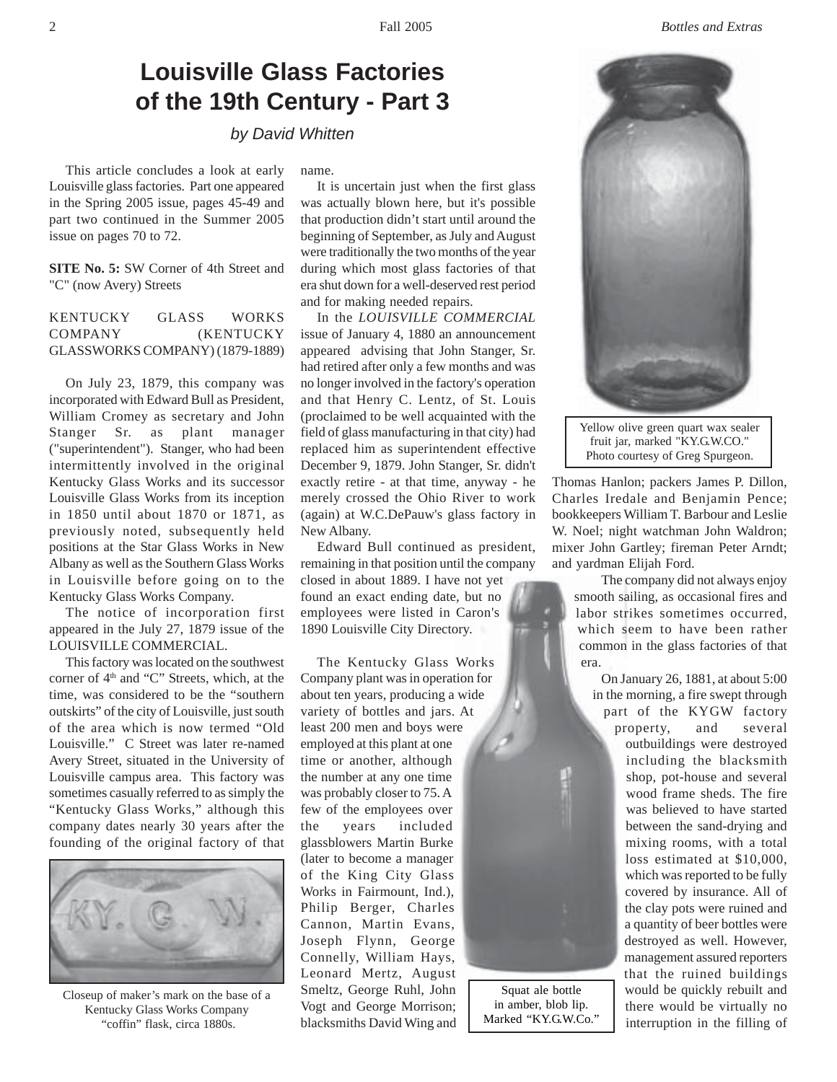## **Louisville Glass Factories of the 19th Century - Part 3**

*by David Whitten*

This article concludes a look at early Louisville glass factories. Part one appeared in the Spring 2005 issue, pages 45-49 and part two continued in the Summer 2005 issue on pages 70 to 72.

**SITE No. 5:** SW Corner of 4th Street and "C" (now Avery) Streets

## KENTUCKY GLASS WORKS COMPANY (KENTUCKY GLASSWORKS COMPANY) (1879-1889)

On July 23, 1879, this company was incorporated with Edward Bull as President, William Cromey as secretary and John Stanger Sr. as plant manager ("superintendent"). Stanger, who had been intermittently involved in the original Kentucky Glass Works and its successor Louisville Glass Works from its inception in 1850 until about 1870 or 1871, as previously noted, subsequently held positions at the Star Glass Works in New Albany as well as the Southern Glass Works in Louisville before going on to the Kentucky Glass Works Company.

The notice of incorporation first appeared in the July 27, 1879 issue of the LOUISVILLE COMMERCIAL.

This factory was located on the southwest corner of 4<sup>th</sup> and "C" Streets, which, at the time, was considered to be the "southern outskirts" of the city of Louisville, just south of the area which is now termed "Old Louisville." C Street was later re-named Avery Street, situated in the University of Louisville campus area. This factory was sometimes casually referred to as simply the "Kentucky Glass Works," although this company dates nearly 30 years after the founding of the original factory of that



Closeup of maker's mark on the base of a Kentucky Glass Works Company "coffin" flask, circa 1880s.

name.

It is uncertain just when the first glass was actually blown here, but it's possible that production didn't start until around the beginning of September, as July and August were traditionally the two months of the year during which most glass factories of that era shut down for a well-deserved rest period and for making needed repairs.

In the *LOUISVILLE COMMERCIAL* issue of January 4, 1880 an announcement appeared advising that John Stanger, Sr. had retired after only a few months and was no longer involved in the factory's operation and that Henry C. Lentz, of St. Louis (proclaimed to be well acquainted with the field of glass manufacturing in that city) had replaced him as superintendent effective December 9, 1879. John Stanger, Sr. didn't exactly retire - at that time, anyway - he merely crossed the Ohio River to work (again) at W.C.DePauw's glass factory in New Albany.

Edward Bull continued as president, remaining in that position until the company closed in about 1889. I have not yet found an exact ending date, but no employees were listed in Caron's 1890 Louisville City Directory.

The Kentucky Glass Works Company plant was in operation for about ten years, producing a wide variety of bottles and jars. At least 200 men and boys were employed at this plant at one time or another, although the number at any one time was probably closer to 75. A few of the employees over the years included glassblowers Martin Burke (later to become a manager of the King City Glass Works in Fairmount, Ind.), Philip Berger, Charles Cannon, Martin Evans, Joseph Flynn, George Connelly, William Hays, Leonard Mertz, August Smeltz, George Ruhl, John Vogt and George Morrison; blacksmiths David Wing and

Squat ale bottle in amber, blob lip. Marked "KY.G.W.Co."



Yellow olive green quart wax sealer fruit jar, marked "KY.G.W.CO." Photo courtesy of Greg Spurgeon.

Thomas Hanlon; packers James P. Dillon, Charles Iredale and Benjamin Pence; bookkeepers William T. Barbour and Leslie W. Noel; night watchman John Waldron; mixer John Gartley; fireman Peter Arndt; and yardman Elijah Ford.

The company did not always enjoy smooth sailing, as occasional fires and labor strikes sometimes occurred, which seem to have been rather common in the glass factories of that era.

On January 26, 1881, at about 5:00 in the morning, a fire swept through part of the KYGW factory property, and several

outbuildings were destroyed including the blacksmith shop, pot-house and several wood frame sheds. The fire was believed to have started between the sand-drying and mixing rooms, with a total loss estimated at \$10,000, which was reported to be fully covered by insurance. All of the clay pots were ruined and a quantity of beer bottles were destroyed as well. However, management assured reporters that the ruined buildings would be quickly rebuilt and there would be virtually no interruption in the filling of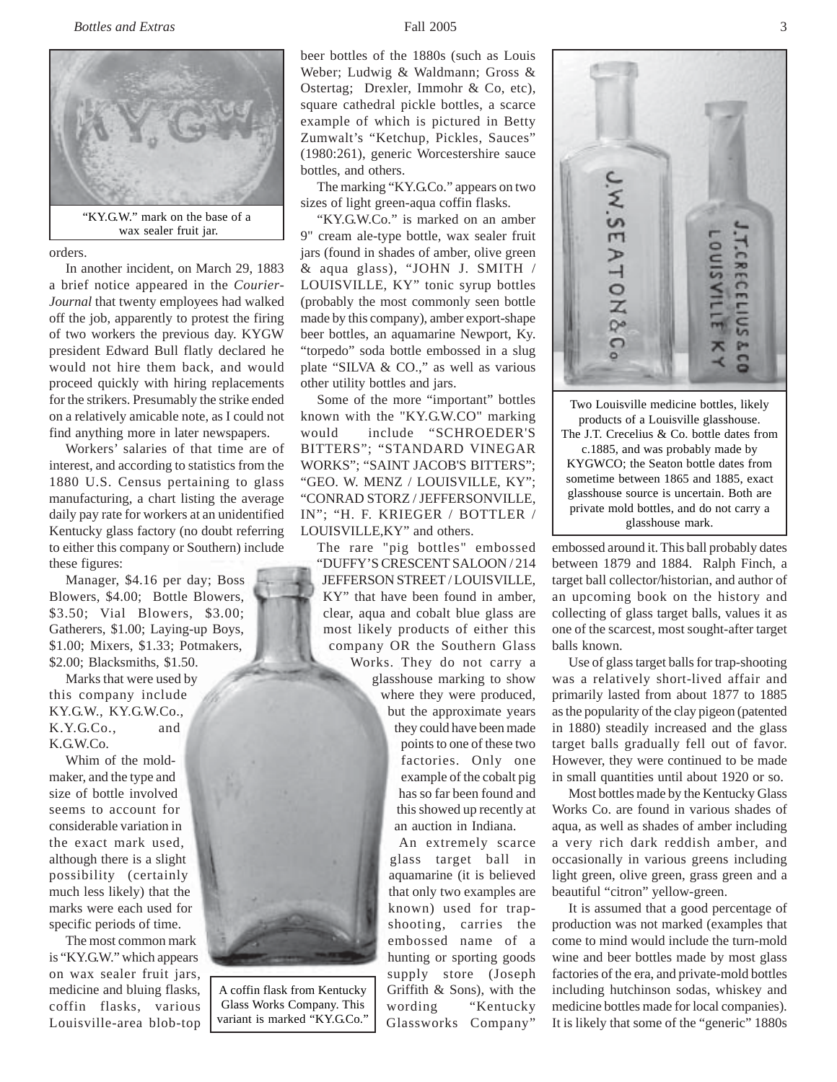## *Bottles and Extras* 3



wax sealer fruit jar.

orders.

In another incident, on March 29, 1883 a brief notice appeared in the *Courier-Journal* that twenty employees had walked off the job, apparently to protest the firing of two workers the previous day. KYGW president Edward Bull flatly declared he would not hire them back, and would proceed quickly with hiring replacements for the strikers. Presumably the strike ended on a relatively amicable note, as I could not find anything more in later newspapers.

Workers' salaries of that time are of interest, and according to statistics from the 1880 U.S. Census pertaining to glass manufacturing, a chart listing the average daily pay rate for workers at an unidentified Kentucky glass factory (no doubt referring to either this company or Southern) include these figures:

Manager, \$4.16 per day; Boss Blowers, \$4.00; Bottle Blowers, \$3.50; Vial Blowers, \$3.00; Gatherers, \$1.00; Laying-up Boys, \$1.00; Mixers, \$1.33; Potmakers, \$2.00; Blacksmiths, \$1.50.

Marks that were used by this company include KY.G.W., KY.G.W.Co., K.Y.G.Co., and K.G.W.Co.

Whim of the moldmaker, and the type and size of bottle involved seems to account for considerable variation in the exact mark used, although there is a slight possibility (certainly much less likely) that the marks were each used for specific periods of time.

The most common mark is "KY.G.W." which appears on wax sealer fruit jars, medicine and bluing flasks, coffin flasks, various Louisville-area blob-top

A coffin flask from Kentucky Glass Works Company. This variant is marked "KY.G.Co."

beer bottles of the 1880s (such as Louis Weber; Ludwig & Waldmann; Gross & Ostertag; Drexler, Immohr & Co, etc), square cathedral pickle bottles, a scarce example of which is pictured in Betty Zumwalt's "Ketchup, Pickles, Sauces" (1980:261), generic Worcestershire sauce bottles, and others.

The marking "KY.G.Co." appears on two sizes of light green-aqua coffin flasks.

"KY.G.W.Co." is marked on an amber 9" cream ale-type bottle, wax sealer fruit jars (found in shades of amber, olive green & aqua glass), "JOHN J. SMITH / LOUISVILLE, KY" tonic syrup bottles (probably the most commonly seen bottle made by this company), amber export-shape beer bottles, an aquamarine Newport, Ky. "torpedo" soda bottle embossed in a slug plate "SILVA & CO.," as well as various other utility bottles and jars.

Some of the more "important" bottles known with the "KY.G.W.CO" marking would include "SCHROEDER'S BITTERS"; "STANDARD VINEGAR WORKS"; "SAINT JACOB'S BITTERS"; "GEO. W. MENZ / LOUISVILLE, KY"; "CONRAD STORZ / JEFFERSONVILLE, IN"; "H. F. KRIEGER / BOTTLER / LOUISVILLE,KY" and others.

The rare "pig bottles" embossed "DUFFY'S CRESCENT SALOON / 214 JEFFERSON STREET / LOUISVILLE, KY" that have been found in amber, clear, aqua and cobalt blue glass are most likely products of either this company OR the Southern Glass

Works. They do not carry a glasshouse marking to show where they were produced, but the approximate years they could have been made points to one of these two factories. Only one example of the cobalt pig has so far been found and this showed up recently at an auction in Indiana.

> An extremely scarce glass target ball in aquamarine (it is believed that only two examples are known) used for trapshooting, carries the embossed name of a hunting or sporting goods supply store (Joseph Griffith & Sons), with the wording "Kentucky Glassworks Company"



products of a Louisville glasshouse. The J.T. Crecelius & Co. bottle dates from c.1885, and was probably made by KYGWCO; the Seaton bottle dates from sometime between 1865 and 1885, exact glasshouse source is uncertain. Both are private mold bottles, and do not carry a glasshouse mark.

embossed around it. This ball probably dates between 1879 and 1884. Ralph Finch, a target ball collector/historian, and author of an upcoming book on the history and collecting of glass target balls, values it as one of the scarcest, most sought-after target balls known.

Use of glass target balls for trap-shooting was a relatively short-lived affair and primarily lasted from about 1877 to 1885 as the popularity of the clay pigeon (patented in 1880) steadily increased and the glass target balls gradually fell out of favor. However, they were continued to be made in small quantities until about 1920 or so.

Most bottles made by the Kentucky Glass Works Co. are found in various shades of aqua, as well as shades of amber including a very rich dark reddish amber, and occasionally in various greens including light green, olive green, grass green and a beautiful "citron" yellow-green.

It is assumed that a good percentage of production was not marked (examples that come to mind would include the turn-mold wine and beer bottles made by most glass factories of the era, and private-mold bottles including hutchinson sodas, whiskey and medicine bottles made for local companies). It is likely that some of the "generic" 1880s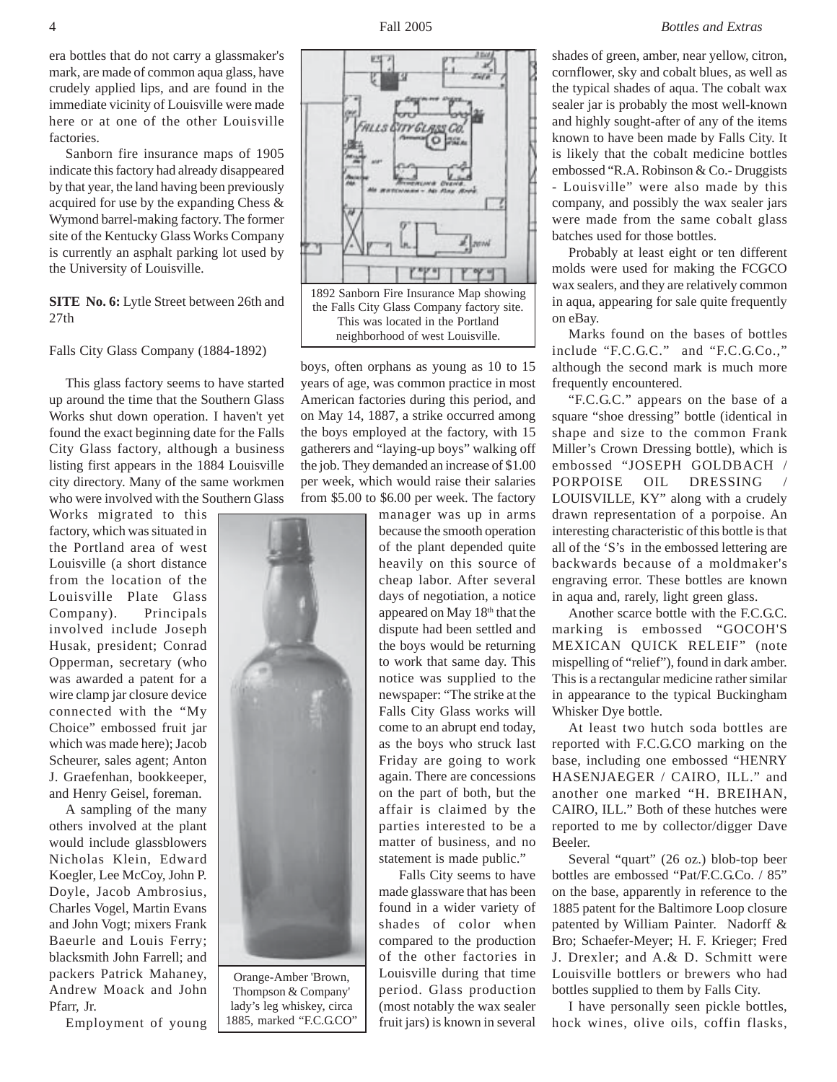era bottles that do not carry a glassmaker's mark, are made of common aqua glass, have crudely applied lips, and are found in the immediate vicinity of Louisville were made here or at one of the other Louisville factories.

Sanborn fire insurance maps of 1905 indicate this factory had already disappeared by that year, the land having been previously acquired for use by the expanding Chess & Wymond barrel-making factory. The former site of the Kentucky Glass Works Company is currently an asphalt parking lot used by the University of Louisville.

## **SITE No. 6:** Lytle Street between 26th and 27th

Falls City Glass Company (1884-1892)

This glass factory seems to have started up around the time that the Southern Glass Works shut down operation. I haven't yet found the exact beginning date for the Falls City Glass factory, although a business listing first appears in the 1884 Louisville city directory. Many of the same workmen who were involved with the Southern Glass

Works migrated to this factory, which was situated in the Portland area of west Louisville (a short distance from the location of the Louisville Plate Glass Company). Principals involved include Joseph Husak, president; Conrad Opperman, secretary (who was awarded a patent for a wire clamp jar closure device connected with the "My Choice" embossed fruit jar which was made here); Jacob Scheurer, sales agent; Anton J. Graefenhan, bookkeeper, and Henry Geisel, foreman.

A sampling of the many others involved at the plant would include glassblowers Nicholas Klein, Edward Koegler, Lee McCoy, John P. Doyle, Jacob Ambrosius, Charles Vogel, Martin Evans and John Vogt; mixers Frank Baeurle and Louis Ferry; blacksmith John Farrell; and packers Patrick Mahaney, Andrew Moack and John Pfarr, Jr.

Employment of young

Orange-Amber 'Brown, Thompson & Company' lady's leg whiskey, circa 1885, marked "F.C.G.CO"



boys, often orphans as young as 10 to 15 years of age, was common practice in most American factories during this period, and on May 14, 1887, a strike occurred among the boys employed at the factory, with 15 gatherers and "laying-up boys" walking off the job. They demanded an increase of \$1.00 per week, which would raise their salaries from \$5.00 to \$6.00 per week. The factory

> manager was up in arms because the smooth operation of the plant depended quite heavily on this source of cheap labor. After several days of negotiation, a notice appeared on May 18th that the dispute had been settled and the boys would be returning to work that same day. This notice was supplied to the newspaper: "The strike at the Falls City Glass works will come to an abrupt end today, as the boys who struck last Friday are going to work again. There are concessions on the part of both, but the affair is claimed by the parties interested to be a matter of business, and no statement is made public."

> Falls City seems to have made glassware that has been found in a wider variety of shades of color when compared to the production of the other factories in Louisville during that time period. Glass production (most notably the wax sealer fruit jars) is known in several

shades of green, amber, near yellow, citron, cornflower, sky and cobalt blues, as well as the typical shades of aqua. The cobalt wax sealer jar is probably the most well-known and highly sought-after of any of the items known to have been made by Falls City. It is likely that the cobalt medicine bottles embossed "R.A. Robinson & Co.- Druggists - Louisville" were also made by this company, and possibly the wax sealer jars were made from the same cobalt glass batches used for those bottles.

Probably at least eight or ten different molds were used for making the FCGCO wax sealers, and they are relatively common in aqua, appearing for sale quite frequently on eBay.

Marks found on the bases of bottles include "F.C.G.C." and "F.C.G.Co.," although the second mark is much more frequently encountered.

"F.C.G.C." appears on the base of a square "shoe dressing" bottle (identical in shape and size to the common Frank Miller's Crown Dressing bottle), which is embossed "JOSEPH GOLDBACH / PORPOISE OIL DRESSING LOUISVILLE, KY" along with a crudely drawn representation of a porpoise. An interesting characteristic of this bottle is that all of the 'S's in the embossed lettering are backwards because of a moldmaker's engraving error. These bottles are known in aqua and, rarely, light green glass.

Another scarce bottle with the F.C.G.C. marking is embossed "GOCOH'S MEXICAN QUICK RELEIF" (note mispelling of "relief"), found in dark amber. This is a rectangular medicine rather similar in appearance to the typical Buckingham Whisker Dye bottle.

At least two hutch soda bottles are reported with F.C.G.CO marking on the base, including one embossed "HENRY HASENJAEGER / CAIRO, ILL." and another one marked "H. BREIHAN, CAIRO, ILL." Both of these hutches were reported to me by collector/digger Dave Beeler.

Several "quart" (26 oz.) blob-top beer bottles are embossed "Pat/F.C.G.Co. / 85" on the base, apparently in reference to the 1885 patent for the Baltimore Loop closure patented by William Painter. Nadorff & Bro; Schaefer-Meyer; H. F. Krieger; Fred J. Drexler; and A.& D. Schmitt were Louisville bottlers or brewers who had bottles supplied to them by Falls City.

I have personally seen pickle bottles, hock wines, olive oils, coffin flasks,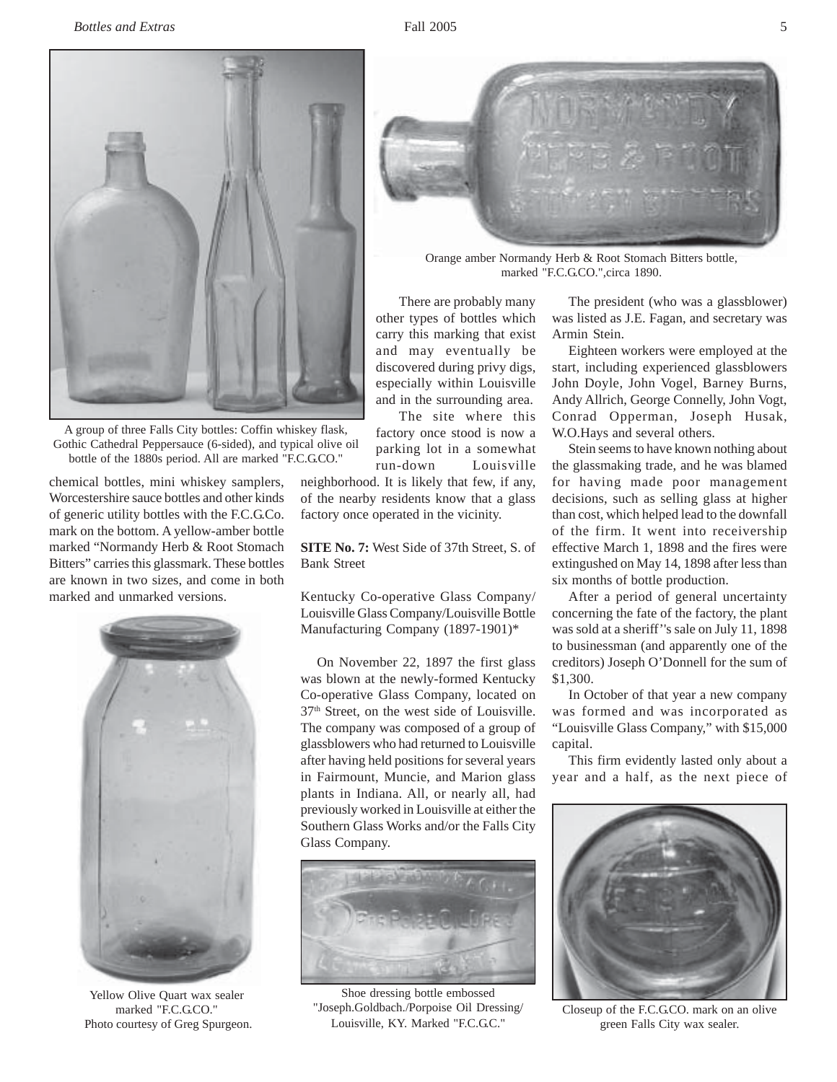

A group of three Falls City bottles: Coffin whiskey flask, Gothic Cathedral Peppersauce (6-sided), and typical olive oil bottle of the 1880s period. All are marked "F.C.G.CO."

chemical bottles, mini whiskey samplers, Worcestershire sauce bottles and other kinds of generic utility bottles with the F.C.G.Co. mark on the bottom. A yellow-amber bottle marked "Normandy Herb & Root Stomach Bitters" carries this glassmark. These bottles are known in two sizes, and come in both marked and unmarked versions.



Yellow Olive Quart wax sealer marked "F.C.G.CO." Photo courtesy of Greg Spurgeon.

neighborhood. It is likely that few, if any, of the nearby residents know that a glass factory once operated in the vicinity.

**SITE No. 7:** West Side of 37th Street, S. of Bank Street

Kentucky Co-operative Glass Company/ Louisville Glass Company/Louisville Bottle Manufacturing Company (1897-1901)\*

On November 22, 1897 the first glass was blown at the newly-formed Kentucky Co-operative Glass Company, located on 37th Street, on the west side of Louisville. The company was composed of a group of glassblowers who had returned to Louisville after having held positions for several years in Fairmount, Muncie, and Marion glass plants in Indiana. All, or nearly all, had previously worked in Louisville at either the Southern Glass Works and/or the Falls City Glass Company.



Shoe dressing bottle embossed "Joseph.Goldbach./Porpoise Oil Dressing/ Louisville, KY. Marked "F.C.G.C."



Orange amber Normandy Herb & Root Stomach Bitters bottle, marked "F.C.G.CO.",circa 1890.

There are probably many other types of bottles which carry this marking that exist and may eventually be discovered during privy digs, especially within Louisville and in the surrounding area.

The site where this factory once stood is now a parking lot in a somewhat run-down Louisville

The president (who was a glassblower) was listed as J.E. Fagan, and secretary was Armin Stein.

Eighteen workers were employed at the start, including experienced glassblowers John Doyle, John Vogel, Barney Burns, Andy Allrich, George Connelly, John Vogt, Conrad Opperman, Joseph Husak, W.O.Hays and several others.

Stein seems to have known nothing about the glassmaking trade, and he was blamed for having made poor management decisions, such as selling glass at higher than cost, which helped lead to the downfall of the firm. It went into receivership effective March 1, 1898 and the fires were extingushed on May 14, 1898 after less than six months of bottle production.

After a period of general uncertainty concerning the fate of the factory, the plant was sold at a sheriff''s sale on July 11, 1898 to businessman (and apparently one of the creditors) Joseph O'Donnell for the sum of \$1,300.

In October of that year a new company was formed and was incorporated as "Louisville Glass Company," with \$15,000 capital.

This firm evidently lasted only about a year and a half, as the next piece of



Closeup of the F.C.G.CO. mark on an olive green Falls City wax sealer.